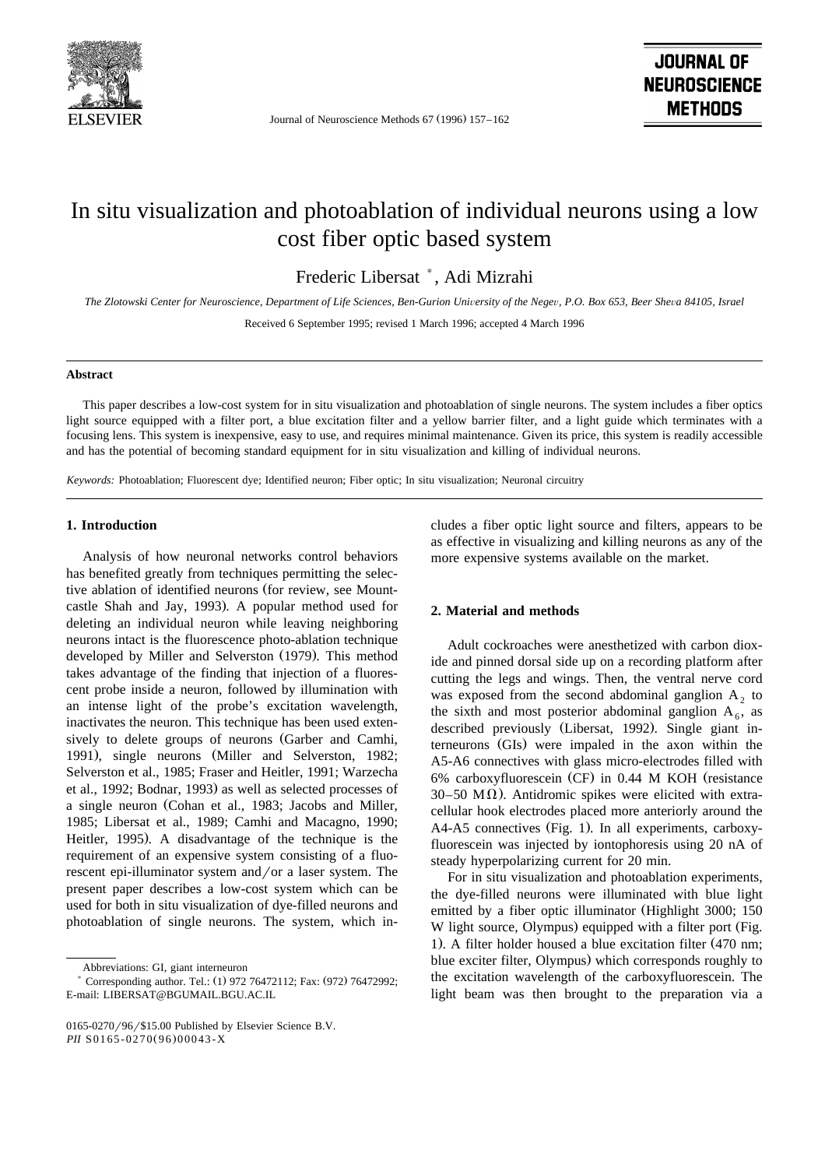

Journal of Neuroscience Methods 67 (1996) 157–162

# In situ visualization and photoablation of individual neurons using a low cost fiber optic based system

Frederic Libersat<sup>\*</sup>, Adi Mizrahi

The Zlotowski Center for Neuroscience, Department of Life Sciences, Ben-Gurion University of the Negev, P.O. Box 653, Beer Sheva 84105, Israel

Received 6 September 1995; revised 1 March 1996; accepted 4 March 1996

#### **Abstract**

This paper describes a low-cost system for in situ visualization and photoablation of single neurons. The system includes a fiber optics light source equipped with a filter port, a blue excitation filter and a yellow barrier filter, and a light guide which terminates with a focusing lens. This system is inexpensive, easy to use, and requires minimal maintenance. Given its price, this system is readily accessible and has the potential of becoming standard equipment for in situ visualization and killing of individual neurons.

*Keywords:* Photoablation; Fluorescent dye; Identified neuron; Fiber optic; In situ visualization; Neuronal circuitry

## **1. Introduction**

Analysis of how neuronal networks control behaviors has benefited greatly from techniques permitting the selective ablation of identified neurons (for review, see Mountcastle Shah and Jay, 1993). A popular method used for deleting an individual neuron while leaving neighboring neurons intact is the fluorescence photo-ablation technique developed by Miller and Selverston (1979). This method takes advantage of the finding that injection of a fluorescent probe inside a neuron, followed by illumination with an intense light of the probe's excitation wavelength, inactivates the neuron. This technique has been used extensively to delete groups of neurons (Garber and Camhi, 1991), single neurons (Miller and Selverston, 1982; Selverston et al., 1985; Fraser and Heitler, 1991; Warzecha et al., 1992; Bodnar, 1993) as well as selected processes of a single neuron (Cohan et al., 1983; Jacobs and Miller, 1985; Libersat et al., 1989; Camhi and Macagno, 1990; Heitler, 1995). A disadvantage of the technique is the requirement of an expensive system consisting of a fluorescent epi-illuminator system and/or a laser system. The present paper describes a low-cost system which can be used for both in situ visualization of dye-filled neurons and photoablation of single neurons. The system, which includes a fiber optic light source and filters, appears to be as effective in visualizing and killing neurons as any of the more expensive systems available on the market.

### **2. Material and methods**

Adult cockroaches were anesthetized with carbon dioxide and pinned dorsal side up on a recording platform after cutting the legs and wings. Then, the ventral nerve cord was exposed from the second abdominal ganglion  $A_2$  to the sixth and most posterior abdominal ganglion  $A_6$ , as described previously (Libersat, 1992). Single giant interneurons (GIs) were impaled in the axon within the A5-A6 connectives with glass micro-electrodes filled with 6% carboxyfluorescein (CF) in  $0.44$  M KOH (resistance 30–50 M $\Omega$ ). Antidromic spikes were elicited with extracellular hook electrodes placed more anteriorly around the A4-A5 connectives (Fig. 1). In all experiments, carboxyfluorescein was injected by iontophoresis using 20 nA of steady hyperpolarizing current for 20 min.

For in situ visualization and photoablation experiments, the dye-filled neurons were illuminated with blue light emitted by a fiber optic illuminator (Highlight 3000; 150 W light source, Olympus) equipped with a filter port (Fig. 1). A filter holder housed a blue excitation filter (470 nm; blue exciter filter, Olympus) which corresponds roughly to the excitation wavelength of the carboxyfluorescein. The light beam was then brought to the preparation via a

Abbreviations: GI, giant interneuron

<sup>\*</sup> Corresponding author. Tel.: (1) 972 76472112; Fax: (972) 76472992; E-mail: LIBERSAT@BGUMAIL.BGU.AC.IL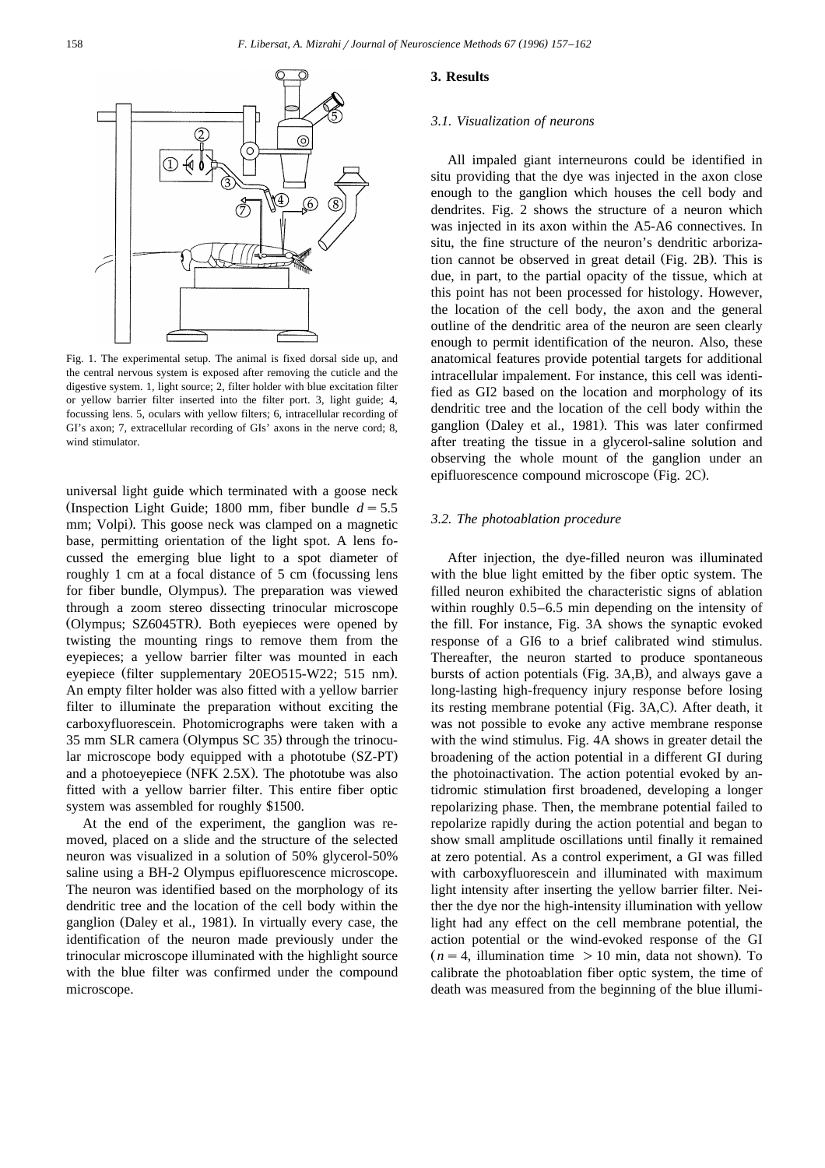

Fig. 1. The experimental setup. The animal is fixed dorsal side up, and the central nervous system is exposed after removing the cuticle and the digestive system. 1, light source; 2, filter holder with blue excitation filter or yellow barrier filter inserted into the filter port. 3, light guide; 4, focussing lens. 5, oculars with yellow filters; 6, intracellular recording of GI's axon; 7, extracellular recording of GIs' axons in the nerve cord; 8, wind stimulator.

universal light guide which terminated with a goose neck (Inspection Light Guide; 1800 mm, fiber bundle  $d = 5.5$ ) mm; Volpi). This goose neck was clamped on a magnetic base, permitting orientation of the light spot. A lens focussed the emerging blue light to a spot diameter of roughly 1 cm at a focal distance of 5 cm (focussing lens for fiber bundle, Olympus). The preparation was viewed through a zoom stereo dissecting trinocular microscope (Olympus; SZ6045TR). Both eyepieces were opened by twisting the mounting rings to remove them from the eyepieces; a yellow barrier filter was mounted in each eyepiece (filter supplementary 20EO515-W22; 515 nm). An empty filter holder was also fitted with a yellow barrier filter to illuminate the preparation without exciting the carboxyfluorescein. Photomicrographs were taken with a 35 mm SLR camera (Olympus SC 35) through the trinocular microscope body equipped with a phototube (SZ-PT) and a photoeyepiece (NFK 2.5X). The phototube was also fitted with a yellow barrier filter. This entire fiber optic system was assembled for roughly \$1500.

At the end of the experiment, the ganglion was removed, placed on a slide and the structure of the selected neuron was visualized in a solution of 50% glycerol-50% saline using a BH-2 Olympus epifluorescence microscope. The neuron was identified based on the morphology of its dendritic tree and the location of the cell body within the ganglion (Daley et al., 1981). In virtually every case, the identification of the neuron made previously under the trinocular microscope illuminated with the highlight source with the blue filter was confirmed under the compound microscope.

#### **3. Results**

#### *3.1. Visualization of neurons*

All impaled giant interneurons could be identified in situ providing that the dye was injected in the axon close enough to the ganglion which houses the cell body and dendrites. Fig. 2 shows the structure of a neuron which was injected in its axon within the A5-A6 connectives. In situ, the fine structure of the neuron's dendritic arborization cannot be observed in great detail (Fig. 2B). This is due, in part, to the partial opacity of the tissue, which at this point has not been processed for histology. However, the location of the cell body, the axon and the general outline of the dendritic area of the neuron are seen clearly enough to permit identification of the neuron. Also, these anatomical features provide potential targets for additional intracellular impalement. For instance, this cell was identified as GI2 based on the location and morphology of its dendritic tree and the location of the cell body within the ganglion (Daley et al., 1981). This was later confirmed after treating the tissue in a glycerol-saline solution and observing the whole mount of the ganglion under an epifluorescence compound microscope (Fig. 2C).

#### *3.2. The photoablation procedure*

After injection, the dye-filled neuron was illuminated with the blue light emitted by the fiber optic system. The filled neuron exhibited the characteristic signs of ablation within roughly 0.5–6.5 min depending on the intensity of the fill. For instance, Fig. 3A shows the synaptic evoked response of a GI6 to a brief calibrated wind stimulus. Thereafter, the neuron started to produce spontaneous bursts of action potentials (Fig. 3A,B), and always gave a long-lasting high-frequency injury response before losing its resting membrane potential (Fig. 3A,C). After death, it was not possible to evoke any active membrane response with the wind stimulus. Fig. 4A shows in greater detail the broadening of the action potential in a different GI during the photoinactivation. The action potential evoked by antidromic stimulation first broadened, developing a longer repolarizing phase. Then, the membrane potential failed to repolarize rapidly during the action potential and began to show small amplitude oscillations until finally it remained at zero potential. As a control experiment, a GI was filled with carboxyfluorescein and illuminated with maximum light intensity after inserting the yellow barrier filter. Neither the dye nor the high-intensity illumination with yellow light had any effect on the cell membrane potential, the action potential or the wind-evoked response of the GI  $(n = 4,$  illumination time  $> 10$  min, data not shown). To calibrate the photoablation fiber optic system, the time of death was measured from the beginning of the blue illumi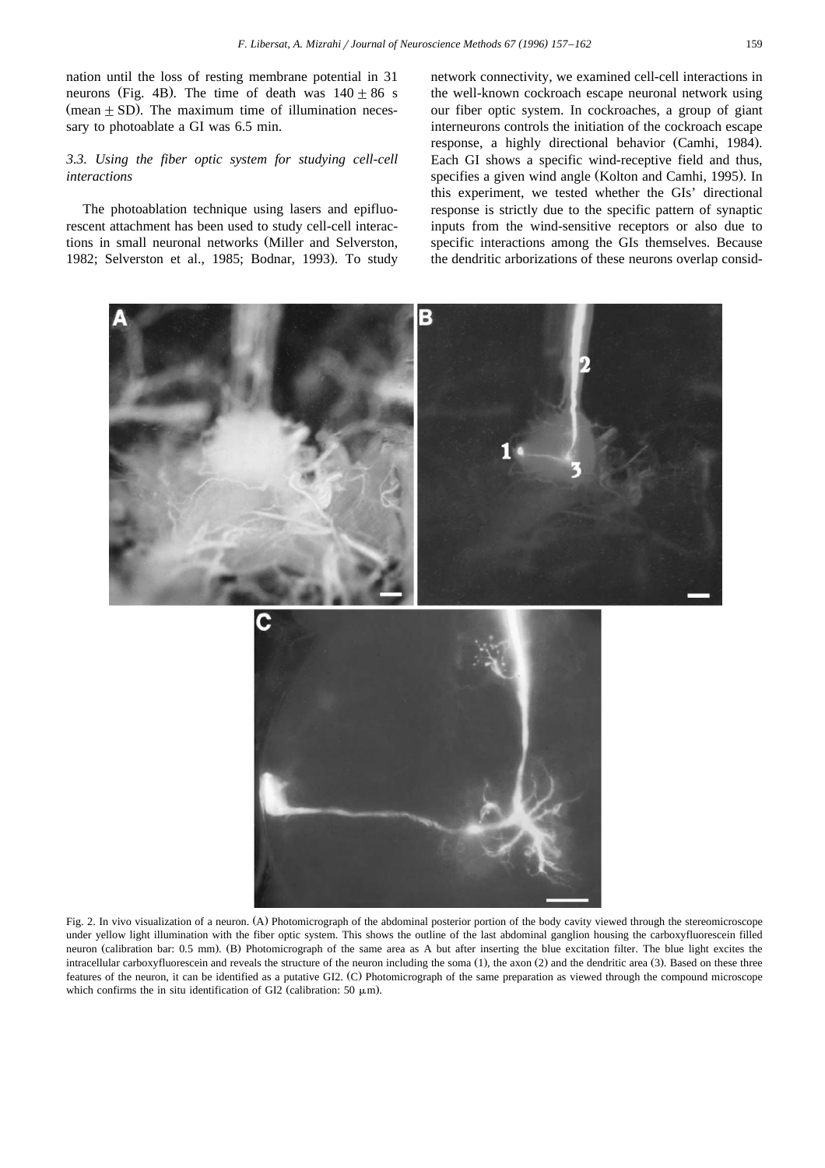nation until the loss of resting membrane potential in 31 neurons (Fig. 4B). The time of death was  $140 + 86$  s  $(mean + SD)$ . The maximum time of illumination necessary to photoablate a GI was 6.5 min.

## *3.3. Using the fiber optic system for studying cell-cell interactions*

The photoablation technique using lasers and epifluorescent attachment has been used to study cell-cell interactions in small neuronal networks (Miller and Selverston, 1982; Selverston et al., 1985; Bodnar, 1993). To study network connectivity, we examined cell-cell interactions in the well-known cockroach escape neuronal network using our fiber optic system. In cockroaches, a group of giant interneurons controls the initiation of the cockroach escape response, a highly directional behavior (Camhi, 1984). Each GI shows a specific wind-receptive field and thus, specifies a given wind angle (Kolton and Camhi, 1995). In this experiment, we tested whether the GIs' directional response is strictly due to the specific pattern of synaptic inputs from the wind-sensitive receptors or also due to specific interactions among the GIs themselves. Because the dendritic arborizations of these neurons overlap consid-



Fig. 2. In vivo visualization of a neuron. (A) Photomicrograph of the abdominal posterior portion of the body cavity viewed through the stereomicroscope under yellow light illumination with the fiber optic system. This shows the outline of the last abdominal ganglion housing the carboxyfluorescein filled neuron (calibration bar: 0.5 mm). (B) Photomicrograph of the same area as A but after inserting the blue excitation filter. The blue light excites the intracellular carboxyfluorescein and reveals the structure of the neuron including the soma (1), the axon (2) and the dendritic area (3). Based on these three features of the neuron, it can be identified as a putative GI2. (C) Photomicrograph of the same preparation as viewed through the compound microscope which confirms the in situ identification of GI2 (calibration: 50  $\mu$ m).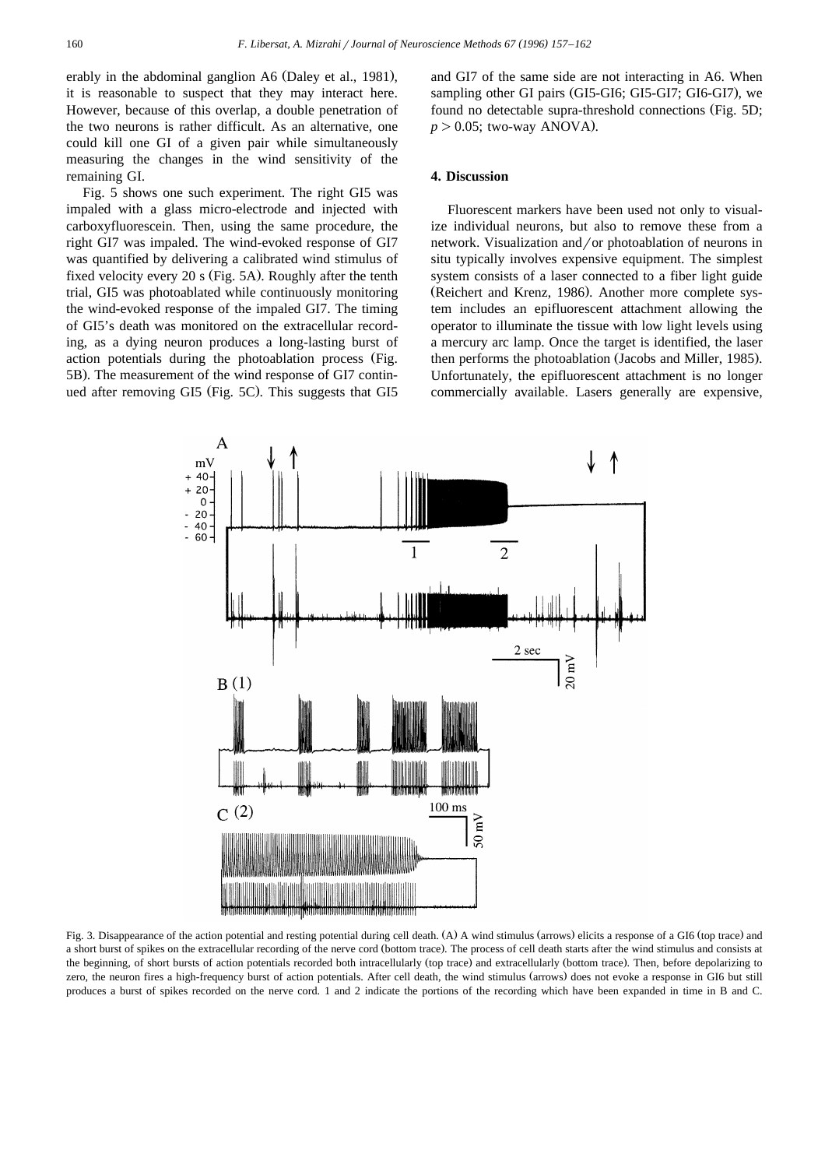erably in the abdominal ganglion A6 (Daley et al., 1981), it is reasonable to suspect that they may interact here. However, because of this overlap, a double penetration of the two neurons is rather difficult. As an alternative, one could kill one GI of a given pair while simultaneously measuring the changes in the wind sensitivity of the remaining GI.

Fig. 5 shows one such experiment. The right GI5 was impaled with a glass micro-electrode and injected with carboxyfluorescein. Then, using the same procedure, the right GI7 was impaled. The wind-evoked response of GI7 was quantified by delivering a calibrated wind stimulus of fixed velocity every 20 s (Fig.  $5A$ ). Roughly after the tenth trial, GI5 was photoablated while continuously monitoring the wind-evoked response of the impaled GI7. The timing of GI5's death was monitored on the extracellular recording, as a dying neuron produces a long-lasting burst of action potentials during the photoablation process (Fig. 5B). The measurement of the wind response of GI7 continued after removing GI5 (Fig. 5C). This suggests that GI5

and GI7 of the same side are not interacting in A6. When sampling other GI pairs (GI5-GI6; GI5-GI7; GI6-GI7), we found no detectable supra-threshold connections (Fig. 5D;  $p > 0.05$ ; two-way ANOVA).

## **4. Discussion**

Fluorescent markers have been used not only to visualize individual neurons, but also to remove these from a network. Visualization and/or photoablation of neurons in situ typically involves expensive equipment. The simplest system consists of a laser connected to a fiber light guide (Reichert and Krenz, 1986). Another more complete system includes an epifluorescent attachment allowing the operator to illuminate the tissue with low light levels using a mercury arc lamp. Once the target is identified, the laser then performs the photoablation (Jacobs and Miller, 1985). Unfortunately, the epifluorescent attachment is no longer commercially available. Lasers generally are expensive,



Fig. 3. Disappearance of the action potential and resting potential during cell death. (A) A wind stimulus (arrows) elicits a response of a GI6 (top trace) and a short burst of spikes on the extracellular recording of the nerve cord (bottom trace). The process of cell death starts after the wind stimulus and consists at the beginning, of short bursts of action potentials recorded both intracellularly (top trace) and extracellularly (bottom trace). Then, before depolarizing to zero, the neuron fires a high-frequency burst of action potentials. After cell death, the wind stimulus (arrows) does not evoke a response in GI6 but still produces a burst of spikes recorded on the nerve cord. 1 and 2 indicate the portions of the recording which have been expanded in time in B and C.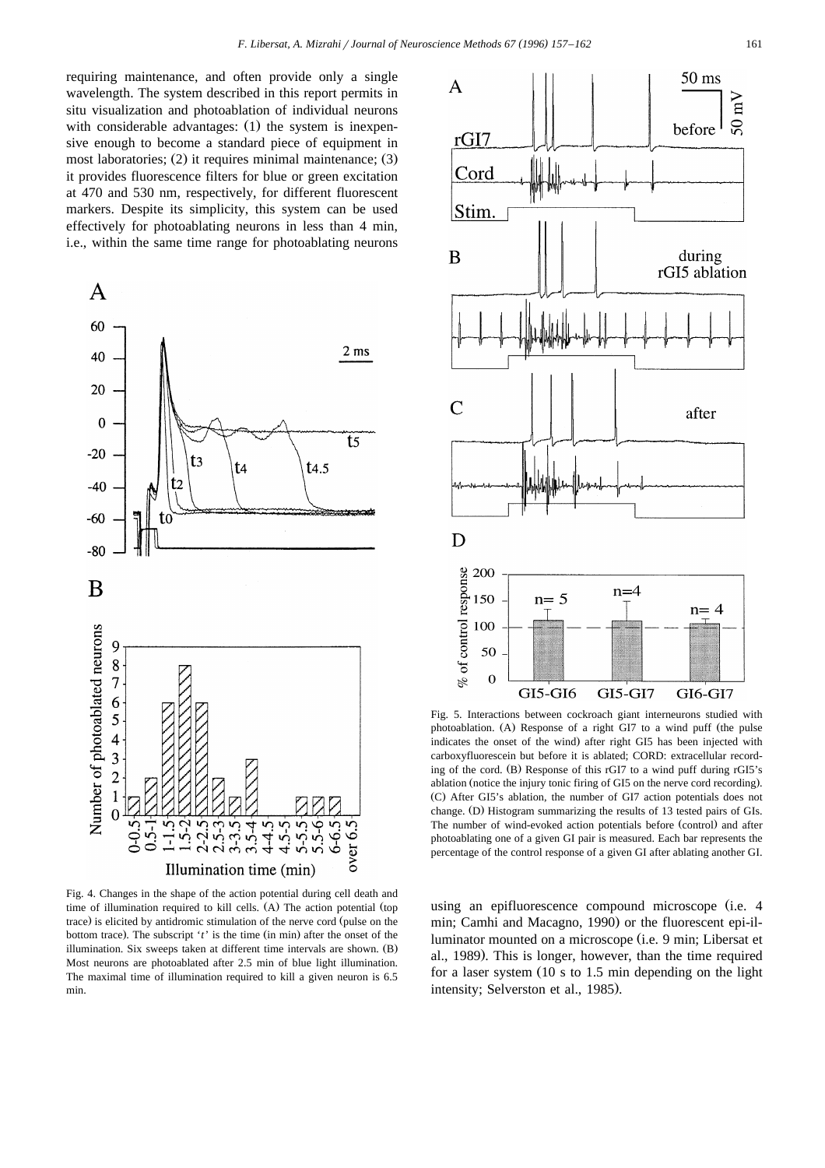requiring maintenance, and often provide only a single wavelength. The system described in this report permits in situ visualization and photoablation of individual neurons with considerable advantages:  $(1)$  the system is inexpensive enough to become a standard piece of equipment in most laboratories;  $(2)$  it requires minimal maintenance;  $(3)$ it provides fluorescence filters for blue or green excitation at 470 and 530 nm, respectively, for different fluorescent markers. Despite its simplicity, this system can be used effectively for photoablating neurons in less than 4 min, i.e., within the same time range for photoablating neurons



Fig. 4. Changes in the shape of the action potential during cell death and time of illumination required to kill cells.  $(A)$  The action potential (top trace) is elicited by antidromic stimulation of the nerve cord (pulse on the bottom trace). The subscript 't' is the time (in min) after the onset of the illumination. Six sweeps taken at different time intervals are shown. (B) Most neurons are photoablated after 2.5 min of blue light illumination. The maximal time of illumination required to kill a given neuron is 6.5 min.



Fig. 5. Interactions between cockroach giant interneurons studied with photoablation. (A) Response of a right GI7 to a wind puff (the pulse indicates the onset of the wind) after right GI5 has been injected with carboxyfluorescein but before it is ablated; CORD: extracellular recording of the cord.  $(B)$  Response of this rGI7 to a wind puff during rGI5's ablation (notice the injury tonic firing of GI5 on the nerve cord recording). (C) After GI5's ablation, the number of GI7 action potentials does not change. (D) Histogram summarizing the results of 13 tested pairs of GIs. The number of wind-evoked action potentials before (control) and after photoablating one of a given GI pair is measured. Each bar represents the percentage of the control response of a given GI after ablating another GI.

using an epifluorescence compound microscope (i.e. 4 min; Camhi and Macagno, 1990) or the fluorescent epi-illuminator mounted on a microscope (i.e. 9 min; Libersat et al., 1989). This is longer, however, than the time required for a laser system  $(10 \text{ s to } 1.5 \text{ min}$  depending on the light intensity; Selverston et al., 1985).